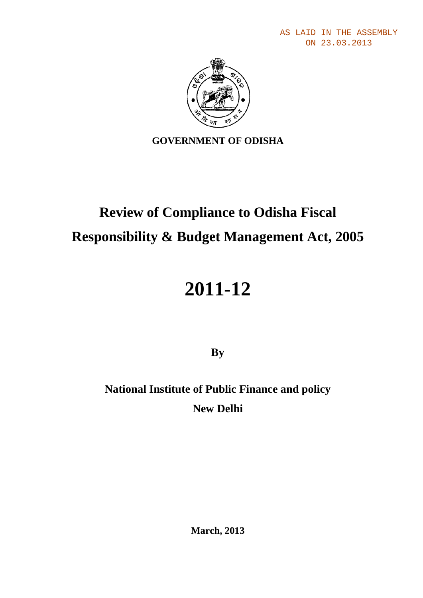AS LAID IN THE ASSEMBLY ON 23.03.2013



### **GOVERNMENT OF ODISHA**

# **Review of Compliance to Odisha Fiscal Responsibility & Budget Management Act, 2005**

# **2011-12**

**By**

**National Institute of Public Finance and policy New Delhi**

**March, 2013**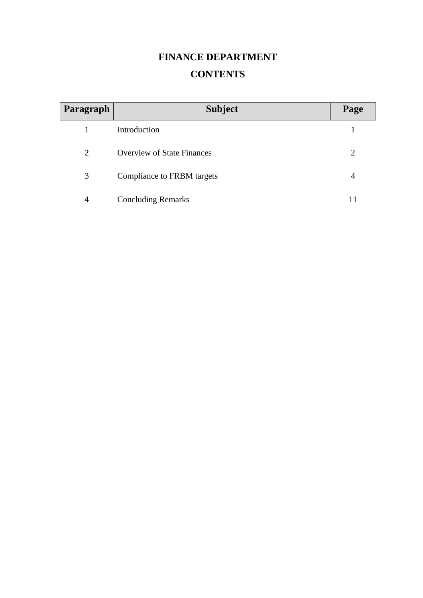## **FINANCE DEPARTMENT CONTENTS**

| Paragraph      | <b>Subject</b>                    | Page |
|----------------|-----------------------------------|------|
|                | Introduction                      |      |
| 2              | <b>Overview of State Finances</b> | 2    |
| 3              | Compliance to FRBM targets        | 4    |
| $\overline{4}$ | <b>Concluding Remarks</b>         |      |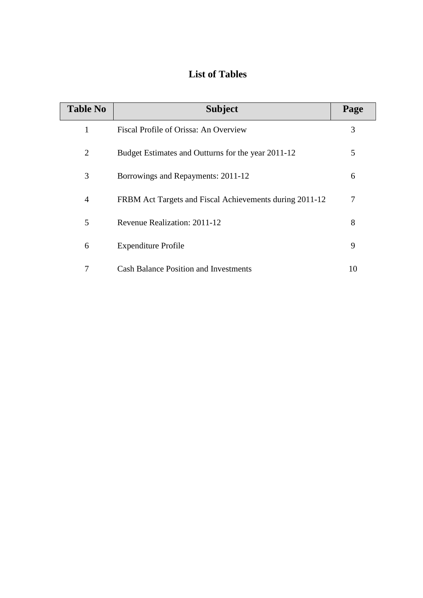### **List of Tables**

| <b>Table No</b> | <b>Subject</b>                                          | Page           |
|-----------------|---------------------------------------------------------|----------------|
| 1               | Fiscal Profile of Orissa: An Overview                   | 3              |
| $\overline{2}$  | Budget Estimates and Outturns for the year 2011-12      | 5              |
| 3               | Borrowings and Repayments: 2011-12                      | 6              |
| $\overline{4}$  | FRBM Act Targets and Fiscal Achievements during 2011-12 | $\overline{7}$ |
| 5               | Revenue Realization: 2011-12                            | 8              |
| 6               | <b>Expenditure Profile</b>                              | 9              |
| 7               | <b>Cash Balance Position and Investments</b>            | 10             |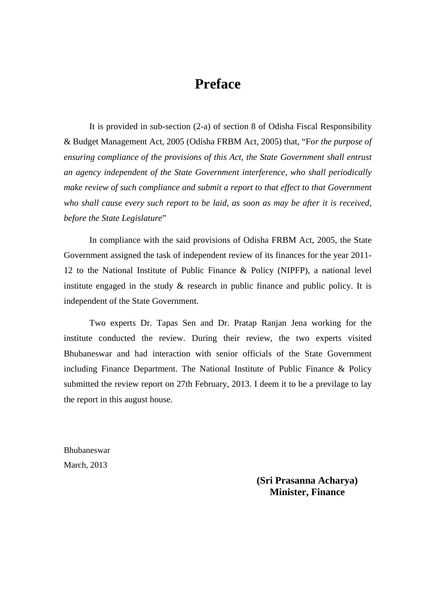## **Preface**

It is provided in sub-section (2-a) of section 8 of Odisha Fiscal Responsibility & Budget Management Act, 2005 (Odisha FRBM Act, 2005) that, "F*or the purpose of ensuring compliance of the provisions of this Act, the State Government shall entrust an agency independent of the State Government interference, who shall periodically make review of such compliance and submit a report to that effect to that Government who shall cause every such report to be laid, as soon as may be after it is received, before the State Legislature*"

In compliance with the said provisions of Odisha FRBM Act, 2005, the State Government assigned the task of independent review of its finances for the year 2011- 12 to the National Institute of Public Finance & Policy (NIPFP), a national level institute engaged in the study & research in public finance and public policy. It is independent of the State Government.

Two experts Dr. Tapas Sen and Dr. Pratap Ranjan Jena working for the institute conducted the review. During their review, the two experts visited Bhubaneswar and had interaction with senior officials of the State Government including Finance Department. The National Institute of Public Finance & Policy submitted the review report on 27th February, 2013. I deem it to be a previlage to lay the report in this august house.

Bhubaneswar March, 2013

> **(Sri Prasanna Acharya) Minister, Finance**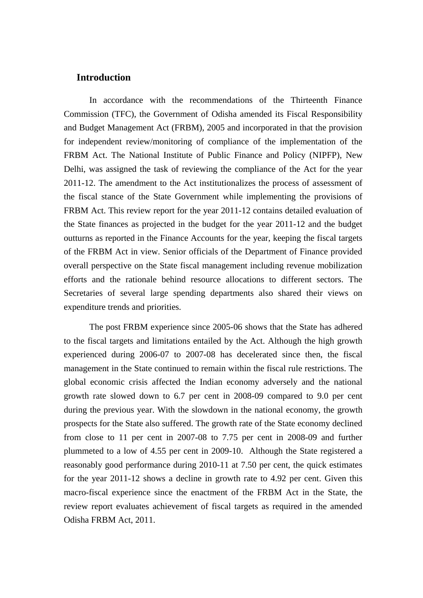#### **Introduction**

In accordance with the recommendations of the Thirteenth Finance Commission (TFC), the Government of Odisha amended its Fiscal Responsibility and Budget Management Act (FRBM), 2005 and incorporated in that the provision for independent review/monitoring of compliance of the implementation of the FRBM Act. The National Institute of Public Finance and Policy (NIPFP), New Delhi, was assigned the task of reviewing the compliance of the Act for the year 2011-12. The amendment to the Act institutionalizes the process of assessment of the fiscal stance of the State Government while implementing the provisions of FRBM Act. This review report for the year 2011-12 contains detailed evaluation of the State finances as projected in the budget for the year 2011-12 and the budget outturns as reported in the Finance Accounts for the year, keeping the fiscal targets of the FRBM Act in view. Senior officials of the Department of Finance provided overall perspective on the State fiscal management including revenue mobilization efforts and the rationale behind resource allocations to different sectors. The Secretaries of several large spending departments also shared their views on expenditure trends and priorities.

The post FRBM experience since 2005-06 shows that the State has adhered to the fiscal targets and limitations entailed by the Act. Although the high growth experienced during 2006-07 to 2007-08 has decelerated since then, the fiscal management in the State continued to remain within the fiscal rule restrictions. The global economic crisis affected the Indian economy adversely and the national growth rate slowed down to 6.7 per cent in 2008-09 compared to 9.0 per cent during the previous year. With the slowdown in the national economy, the growth prospects for the State also suffered. The growth rate of the State economy declined from close to 11 per cent in 2007-08 to 7.75 per cent in 2008-09 and further plummeted to a low of 4.55 per cent in 2009-10. Although the State registered a reasonably good performance during 2010-11 at 7.50 per cent, the quick estimates for the year 2011-12 shows a decline in growth rate to 4.92 per cent. Given this macro-fiscal experience since the enactment of the FRBM Act in the State, the review report evaluates achievement of fiscal targets as required in the amended Odisha FRBM Act, 2011.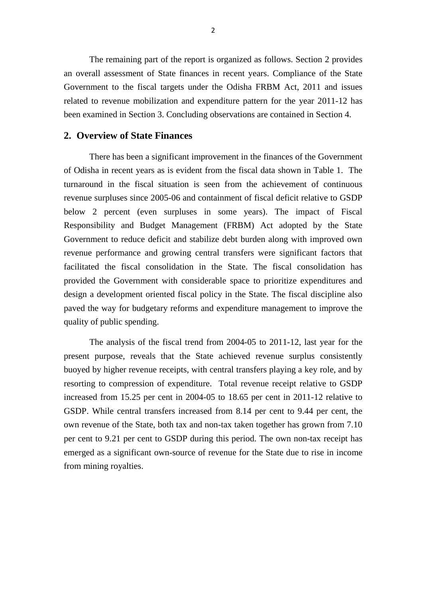The remaining part of the report is organized as follows. Section 2 provides an overall assessment of State finances in recent years. Compliance of the State Government to the fiscal targets under the Odisha FRBM Act, 2011 and issues related to revenue mobilization and expenditure pattern for the year 2011-12 has been examined in Section 3. Concluding observations are contained in Section 4.

#### **2. Overview of State Finances**

There has been a significant improvement in the finances of the Government of Odisha in recent years as is evident from the fiscal data shown in Table 1. The turnaround in the fiscal situation is seen from the achievement of continuous revenue surpluses since 2005-06 and containment of fiscal deficit relative to GSDP below 2 percent (even surpluses in some years). The impact of Fiscal Responsibility and Budget Management (FRBM) Act adopted by the State Government to reduce deficit and stabilize debt burden along with improved own revenue performance and growing central transfers were significant factors that facilitated the fiscal consolidation in the State. The fiscal consolidation has provided the Government with considerable space to prioritize expenditures and design a development oriented fiscal policy in the State. The fiscal discipline also paved the way for budgetary reforms and expenditure management to improve the quality of public spending.

The analysis of the fiscal trend from 2004-05 to 2011-12, last year for the present purpose, reveals that the State achieved revenue surplus consistently buoyed by higher revenue receipts, with central transfers playing a key role, and by resorting to compression of expenditure. Total revenue receipt relative to GSDP increased from 15.25 per cent in 2004-05 to 18.65 per cent in 2011-12 relative to GSDP. While central transfers increased from 8.14 per cent to 9.44 per cent, the own revenue of the State, both tax and non-tax taken together has grown from 7.10 per cent to 9.21 per cent to GSDP during this period. The own non-tax receipt has emerged as a significant own-source of revenue for the State due to rise in income from mining royalties.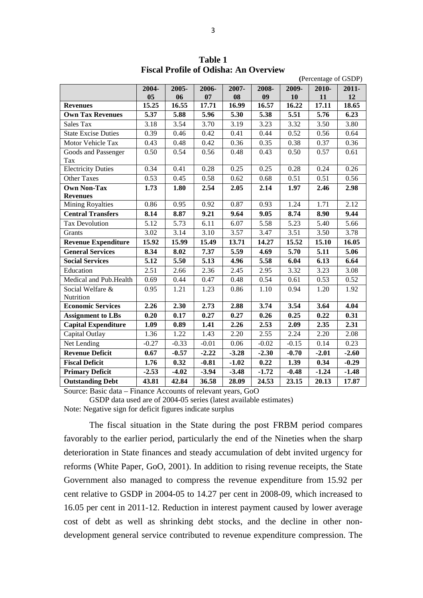|                            |         |                   |         |         |         |         | (Percentage of GSDP) |         |
|----------------------------|---------|-------------------|---------|---------|---------|---------|----------------------|---------|
|                            | 2004-   | 2005-             | 2006-   | 2007-   | 2008-   | 2009-   | 2010-                | 2011-   |
|                            | 05      | 06                | 07      | 08      | 09      | 10      | 11                   | 12      |
| <b>Revenues</b>            | 15.25   | 16.55             | 17.71   | 16.99   | 16.57   | 16.22   | 17.11                | 18.65   |
| <b>Own Tax Revenues</b>    | 5.37    | 5.88              | 5.96    | 5.30    | 5.38    | 5.51    | 5.76                 | 6.23    |
| Sales Tax                  | 3.18    | 3.54              | 3.70    | 3.19    | 3.23    | 3.32    | 3.50                 | 3.80    |
| <b>State Excise Duties</b> | 0.39    | 0.46              | 0.42    | 0.41    | 0.44    | 0.52    | 0.56                 | 0.64    |
| Motor Vehicle Tax          | 0.43    | 0.48              | 0.42    | 0.36    | 0.35    | 0.38    | 0.37                 | 0.36    |
| Goods and Passenger        | 0.50    | 0.54              | 0.56    | 0.48    | 0.43    | 0.50    | 0.57                 | 0.61    |
| Tax                        |         |                   |         |         |         |         |                      |         |
| <b>Electricity Duties</b>  | 0.34    | 0.41              | 0.28    | 0.25    | 0.25    | 0.28    | 0.24                 | 0.26    |
| <b>Other Taxes</b>         | 0.53    | 0.45              | 0.58    | 0.62    | 0.68    | 0.51    | 0.51                 | 0.56    |
| <b>Own Non-Tax</b>         | 1.73    | 1.80              | 2.54    | 2.05    | 2.14    | 1.97    | 2.46                 | 2.98    |
| <b>Revenues</b>            |         |                   |         |         |         |         |                      |         |
| Mining Royalties           | 0.86    | 0.95              | 0.92    | 0.87    | 0.93    | 1.24    | 1.71                 | 2.12    |
| <b>Central Transfers</b>   | 8.14    | 8.87              | 9.21    | 9.64    | 9.05    | 8.74    | 8.90                 | 9.44    |
| <b>Tax Devolution</b>      | 5.12    | $\overline{5.73}$ | 6.11    | 6.07    | 5.58    | 5.23    | 5.40                 | 5.66    |
| Grants                     | 3.02    | 3.14              | 3.10    | 3.57    | 3.47    | 3.51    | 3.50                 | 3.78    |
| <b>Revenue Expenditure</b> | 15.92   | 15.99             | 15.49   | 13.71   | 14.27   | 15.52   | 15.10                | 16.05   |
| <b>General Services</b>    | 8.34    | 8.02              | 7.37    | 5.59    | 4.69    | 5.70    | 5.11                 | 5.06    |
| <b>Social Services</b>     | 5.12    | 5.50              | 5.13    | 4.96    | 5.58    | 6.04    | 6.13                 | 6.64    |
| Education                  | 2.51    | 2.66              | 2.36    | 2.45    | 2.95    | 3.32    | 3.23                 | 3.08    |
| Medical and Pub. Health    | 0.69    | 0.44              | 0.47    | 0.48    | 0.54    | 0.61    | 0.53                 | 0.52    |
| Social Welfare &           | 0.95    | 1.21              | 1.23    | 0.86    | 1.10    | 0.94    | 1.20                 | 1.92    |
| Nutrition                  |         |                   |         |         |         |         |                      |         |
| <b>Economic Services</b>   | 2.26    | 2.30              | 2.73    | 2.88    | 3.74    | 3.54    | 3.64                 | 4.04    |
| <b>Assignment to LBs</b>   | 0.20    | 0.17              | 0.27    | 0.27    | 0.26    | 0.25    | 0.22                 | 0.31    |
| <b>Capital Expenditure</b> | 1.09    | 0.89              | 1.41    | 2.26    | 2.53    | 2.09    | 2.35                 | 2.31    |
| Capital Outlay             | 1.36    | 1.22              | 1.43    | 2.20    | 2.55    | 2.24    | 2.20                 | 2.08    |
| Net Lending                | $-0.27$ | $-0.33$           | $-0.01$ | 0.06    | $-0.02$ | $-0.15$ | 0.14                 | 0.23    |
| <b>Revenue Deficit</b>     | 0.67    | $-0.57$           | $-2.22$ | $-3.28$ | $-2.30$ | $-0.70$ | $-2.01$              | $-2.60$ |
| <b>Fiscal Deficit</b>      | 1.76    | 0.32              | $-0.81$ | $-1.02$ | 0.22    | 1.39    | 0.34                 | $-0.29$ |
| <b>Primary Deficit</b>     | $-2.53$ | $-4.02$           | $-3.94$ | $-3.48$ | $-1.72$ | $-0.48$ | $-1.24$              | $-1.48$ |
| <b>Outstanding Debt</b>    | 43.81   | 42.84             | 36.58   | 28.09   | 24.53   | 23.15   | 20.13                | 17.87   |

**Table 1 Fiscal Profile of Odisha: An Overview** 

Source: Basic data – Finance Accounts of relevant years, GoO

GSDP data used are of 2004-05 series (latest available estimates) Note: Negative sign for deficit figures indicate surplus

The fiscal situation in the State during the post FRBM period compares favorably to the earlier period, particularly the end of the Nineties when the sharp deterioration in State finances and steady accumulation of debt invited urgency for reforms (White Paper, GoO, 2001). In addition to rising revenue receipts, the State Government also managed to compress the revenue expenditure from 15.92 per cent relative to GSDP in 2004-05 to 14.27 per cent in 2008-09, which increased to 16.05 per cent in 2011-12. Reduction in interest payment caused by lower average cost of debt as well as shrinking debt stocks, and the decline in other nondevelopment general service contributed to revenue expenditure compression. The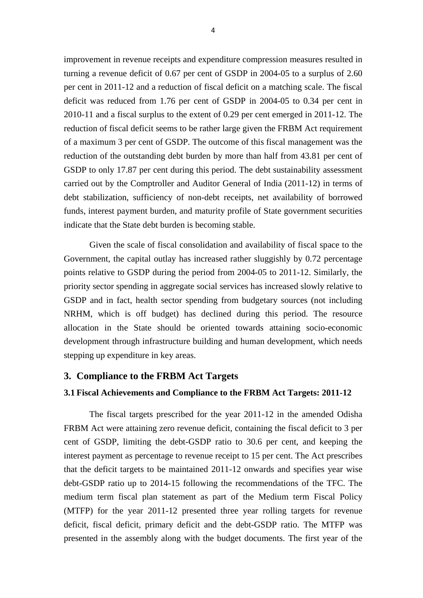improvement in revenue receipts and expenditure compression measures resulted in turning a revenue deficit of 0.67 per cent of GSDP in 2004-05 to a surplus of 2.60 per cent in 2011-12 and a reduction of fiscal deficit on a matching scale. The fiscal deficit was reduced from 1.76 per cent of GSDP in 2004-05 to 0.34 per cent in 2010-11 and a fiscal surplus to the extent of 0.29 per cent emerged in 2011-12. The reduction of fiscal deficit seems to be rather large given the FRBM Act requirement of a maximum 3 per cent of GSDP. The outcome of this fiscal management was the reduction of the outstanding debt burden by more than half from 43.81 per cent of GSDP to only 17.87 per cent during this period. The debt sustainability assessment carried out by the Comptroller and Auditor General of India (2011-12) in terms of debt stabilization, sufficiency of non-debt receipts, net availability of borrowed funds, interest payment burden, and maturity profile of State government securities indicate that the State debt burden is becoming stable.

Given the scale of fiscal consolidation and availability of fiscal space to the Government, the capital outlay has increased rather sluggishly by 0.72 percentage points relative to GSDP during the period from 2004-05 to 2011-12. Similarly, the priority sector spending in aggregate social services has increased slowly relative to GSDP and in fact, health sector spending from budgetary sources (not including NRHM, which is off budget) has declined during this period. The resource allocation in the State should be oriented towards attaining socio-economic development through infrastructure building and human development, which needs stepping up expenditure in key areas.

#### **3. Compliance to the FRBM Act Targets**

#### **3.1 Fiscal Achievements and Compliance to the FRBM Act Targets: 2011-12**

The fiscal targets prescribed for the year 2011-12 in the amended Odisha FRBM Act were attaining zero revenue deficit, containing the fiscal deficit to 3 per cent of GSDP, limiting the debt-GSDP ratio to 30.6 per cent, and keeping the interest payment as percentage to revenue receipt to 15 per cent. The Act prescribes that the deficit targets to be maintained 2011-12 onwards and specifies year wise debt-GSDP ratio up to 2014-15 following the recommendations of the TFC. The medium term fiscal plan statement as part of the Medium term Fiscal Policy (MTFP) for the year 2011-12 presented three year rolling targets for revenue deficit, fiscal deficit, primary deficit and the debt-GSDP ratio. The MTFP was presented in the assembly along with the budget documents. The first year of the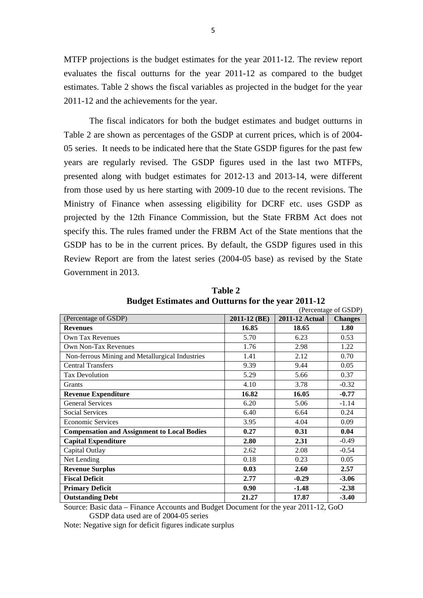MTFP projections is the budget estimates for the year 2011-12. The review report evaluates the fiscal outturns for the year 2011-12 as compared to the budget estimates. Table 2 shows the fiscal variables as projected in the budget for the year 2011-12 and the achievements for the year.

The fiscal indicators for both the budget estimates and budget outturns in Table 2 are shown as percentages of the GSDP at current prices, which is of 2004- 05 series. It needs to be indicated here that the State GSDP figures for the past few years are regularly revised. The GSDP figures used in the last two MTFPs, presented along with budget estimates for 2012-13 and 2013-14, were different from those used by us here starting with 2009-10 due to the recent revisions. The Ministry of Finance when assessing eligibility for DCRF etc. uses GSDP as projected by the 12th Finance Commission, but the State FRBM Act does not specify this. The rules framed under the FRBM Act of the State mentions that the GSDP has to be in the current prices. By default, the GSDP figures used in this Review Report are from the latest series (2004-05 base) as revised by the State Government in 2013.

|                                                    |              | (Percentage of GSDP)  |                |
|----------------------------------------------------|--------------|-----------------------|----------------|
| (Percentage of GSDP)                               | 2011-12 (BE) | <b>2011-12 Actual</b> | <b>Changes</b> |
| <b>Revenues</b>                                    | 16.85        | 18.65                 | 1.80           |
| <b>Own Tax Revenues</b>                            | 5.70         | 6.23                  | 0.53           |
| Own Non-Tax Revenues                               | 1.76         | 2.98                  | 1.22           |
| Non-ferrous Mining and Metallurgical Industries    | 1.41         | 2.12                  | 0.70           |
| <b>Central Transfers</b>                           | 9.39         | 9.44                  | 0.05           |
| <b>Tax Devolution</b>                              | 5.29         | 5.66                  | 0.37           |
| <b>Grants</b>                                      | 4.10         | 3.78                  | $-0.32$        |
| <b>Revenue Expenditure</b>                         | 16.82        | 16.05                 | $-0.77$        |
| <b>General Services</b>                            | 6.20         | 5.06                  | $-1.14$        |
| Social Services                                    | 6.40         | 6.64                  | 0.24           |
| <b>Economic Services</b>                           | 3.95         | 4.04                  | 0.09           |
| <b>Compensation and Assignment to Local Bodies</b> | 0.27         | 0.31                  | 0.04           |
| <b>Capital Expenditure</b>                         | 2.80         | 2.31                  | $-0.49$        |
| Capital Outlay                                     | 2.62         | 2.08                  | $-0.54$        |
| Net Lending                                        | 0.18         | 0.23                  | 0.05           |
| <b>Revenue Surplus</b>                             | 0.03         | 2.60                  | 2.57           |
| <b>Fiscal Deficit</b>                              | 2.77         | $-0.29$               | $-3.06$        |
| <b>Primary Deficit</b>                             | 0.90         | $-1.48$               | $-2.38$        |
| <b>Outstanding Debt</b>                            | 21.27        | 17.87                 | $-3.40$        |

**Table 2 Budget Estimates and Outturns for the year 2011-12**

Source: Basic data – Finance Accounts and Budget Document for the year 2011-12, GoO GSDP data used are of 2004-05 series

Note: Negative sign for deficit figures indicate surplus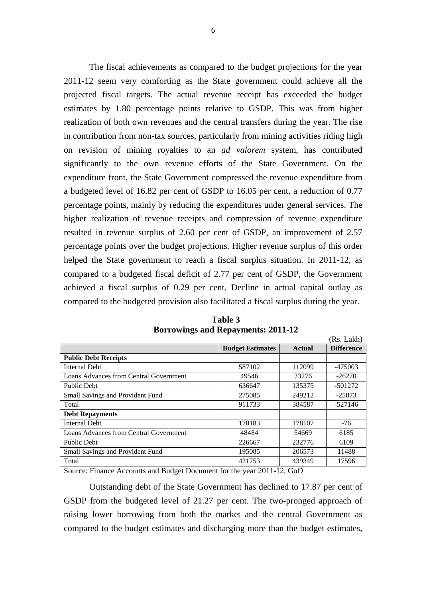The fiscal achievements as compared to the budget projections for the year 2011-12 seem very comforting as the State government could achieve all the projected fiscal targets. The actual revenue receipt has exceeded the budget estimates by 1.80 percentage points relative to GSDP. This was from higher realization of both own revenues and the central transfers during the year. The rise in contribution from non-tax sources, particularly from mining activities riding high on revision of mining royalties to an *ad valorem* system, has contributed significantly to the own revenue efforts of the State Government. On the expenditure front, the State Government compressed the revenue expenditure from a budgeted level of 16.82 per cent of GSDP to 16.05 per cent, a reduction of 0.77 percentage points, mainly by reducing the expenditures under general services. The higher realization of revenue receipts and compression of revenue expenditure resulted in revenue surplus of 2.60 per cent of GSDP, an improvement of 2.57 percentage points over the budget projections. Higher revenue surplus of this order helped the State government to reach a fiscal surplus situation. In 2011-12, as compared to a budgeted fiscal deficit of 2.77 per cent of GSDP, the Government achieved a fiscal surplus of 0.29 per cent. Decline in actual capital outlay as compared to the budgeted provision also facilitated a fiscal surplus during the year.

|                                        |                         |               | (Rs. Lakh)        |
|----------------------------------------|-------------------------|---------------|-------------------|
|                                        | <b>Budget Estimates</b> | <b>Actual</b> | <b>Difference</b> |
| <b>Public Debt Receipts</b>            |                         |               |                   |
| <b>Internal Debt</b>                   | 587102                  | 112099        | $-475003$         |
| Loans Advances from Central Government | 49546                   | 23276         | $-26270$          |
| <b>Public Debt</b>                     | 636647                  | 135375        | $-501272$         |
| Small Savings and Provident Fund       | 275085                  | 249212        | $-25873$          |
| Total                                  | 911733                  | 384587        | $-527146$         |
| <b>Debt Repayments</b>                 |                         |               |                   |
| <b>Internal Debt</b>                   | 178183                  | 178107        | $-76$             |
| Loans Advances from Central Government | 48484                   | 54669         | 6185              |
| Public Debt                            | 226667                  | 232776        | 6109              |
| Small Savings and Provident Fund       | 195085                  | 206573        | 11488             |
| Total                                  | 421753                  | 439349        | 17596             |

**Table 3 Borrowings and Repayments: 2011-12**

Source: Finance Accounts and Budget Document for the year 2011-12, GoO

Outstanding debt of the State Government has declined to 17.87 per cent of GSDP from the budgeted level of 21.27 per cent. The two-pronged approach of raising lower borrowing from both the market and the central Government as compared to the budget estimates and discharging more than the budget estimates,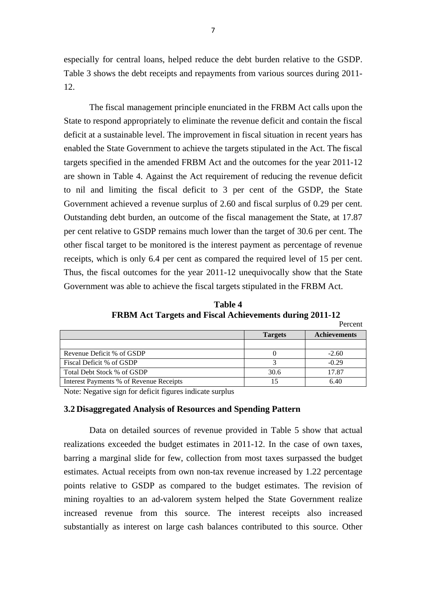especially for central loans, helped reduce the debt burden relative to the GSDP. Table 3 shows the debt receipts and repayments from various sources during 2011- 12.

The fiscal management principle enunciated in the FRBM Act calls upon the State to respond appropriately to eliminate the revenue deficit and contain the fiscal deficit at a sustainable level. The improvement in fiscal situation in recent years has enabled the State Government to achieve the targets stipulated in the Act. The fiscal targets specified in the amended FRBM Act and the outcomes for the year 2011-12 are shown in Table 4. Against the Act requirement of reducing the revenue deficit to nil and limiting the fiscal deficit to 3 per cent of the GSDP, the State Government achieved a revenue surplus of 2.60 and fiscal surplus of 0.29 per cent. Outstanding debt burden, an outcome of the fiscal management the State, at 17.87 per cent relative to GSDP remains much lower than the target of 30.6 per cent. The other fiscal target to be monitored is the interest payment as percentage of revenue receipts, which is only 6.4 per cent as compared the required level of 15 per cent. Thus, the fiscal outcomes for the year 2011-12 unequivocally show that the State Government was able to achieve the fiscal targets stipulated in the FRBM Act.

 **Table 4 FRBM Act Targets and Fiscal Achievements during 2011-12** Percent

| <b>Targets</b> | <b>Achievements</b> |
|----------------|---------------------|
|                |                     |
|                | $-2.60$             |
|                | $-0.29$             |
| 30.6           | 17.87               |
|                | 6.40                |
|                |                     |

Note: Negative sign for deficit figures indicate surplus

#### **3.2 Disaggregated Analysis of Resources and Spending Pattern**

Data on detailed sources of revenue provided in Table 5 show that actual realizations exceeded the budget estimates in 2011-12. In the case of own taxes, barring a marginal slide for few, collection from most taxes surpassed the budget estimates. Actual receipts from own non-tax revenue increased by 1.22 percentage points relative to GSDP as compared to the budget estimates. The revision of mining royalties to an ad-valorem system helped the State Government realize increased revenue from this source. The interest receipts also increased substantially as interest on large cash balances contributed to this source. Other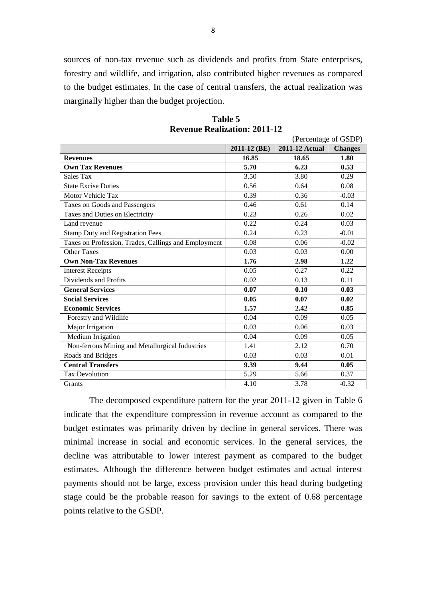sources of non-tax revenue such as dividends and profits from State enterprises, forestry and wildlife, and irrigation, also contributed higher revenues as compared to the budget estimates. In the case of central transfers, the actual realization was marginally higher than the budget projection.

| Table 5                             |  |
|-------------------------------------|--|
| <b>Revenue Realization: 2011-12</b> |  |

| (Percentage of GSDP)                                 |              |                       |                |  |
|------------------------------------------------------|--------------|-----------------------|----------------|--|
|                                                      | 2011-12 (BE) | <b>2011-12 Actual</b> | <b>Changes</b> |  |
| <b>Revenues</b>                                      | 16.85        | 18.65                 | 1.80           |  |
| <b>Own Tax Revenues</b>                              | 5.70         | 6.23                  | 0.53           |  |
| <b>Sales Tax</b>                                     | 3.50         | 3.80                  | 0.29           |  |
| <b>State Excise Duties</b>                           | 0.56         | 0.64                  | 0.08           |  |
| Motor Vehicle Tax                                    | 0.39         | 0.36                  | $-0.03$        |  |
| Taxes on Goods and Passengers                        | 0.46         | 0.61                  | 0.14           |  |
| Taxes and Duties on Electricity                      | 0.23         | 0.26                  | 0.02           |  |
| Land revenue                                         | 0.22         | 0.24                  | 0.03           |  |
| <b>Stamp Duty and Registration Fees</b>              | 0.24         | 0.23                  | $-0.01$        |  |
| Taxes on Profession, Trades, Callings and Employment | 0.08         | 0.06                  | $-0.02$        |  |
| <b>Other Taxes</b>                                   | 0.03         | 0.03                  | 0.00           |  |
| <b>Own Non-Tax Revenues</b>                          | 1.76         | 2.98                  | 1.22           |  |
| <b>Interest Receipts</b>                             | 0.05         | 0.27                  | 0.22           |  |
| Dividends and Profits                                | 0.02         | 0.13                  | 0.11           |  |
| <b>General Services</b>                              | 0.07         | 0.10                  | 0.03           |  |
| <b>Social Services</b>                               | 0.05         | 0.07                  | 0.02           |  |
| <b>Economic Services</b>                             | 1.57         | 2.42                  | 0.85           |  |
| Forestry and Wildlife                                | 0.04         | 0.09                  | 0.05           |  |
| Major Irrigation                                     | 0.03         | 0.06                  | 0.03           |  |
| Medium Irrigation                                    | 0.04         | 0.09                  | 0.05           |  |
| Non-ferrous Mining and Metallurgical Industries      | 1.41         | 2.12                  | 0.70           |  |
| Roads and Bridges                                    | 0.03         | 0.03                  | 0.01           |  |
| <b>Central Transfers</b>                             | 9.39         | 9.44                  | 0.05           |  |
| <b>Tax Devolution</b>                                | 5.29         | 5.66                  | 0.37           |  |
| Grants                                               | 4.10         | 3.78                  | $-0.32$        |  |

The decomposed expenditure pattern for the year 2011-12 given in Table 6 indicate that the expenditure compression in revenue account as compared to the budget estimates was primarily driven by decline in general services. There was minimal increase in social and economic services. In the general services, the decline was attributable to lower interest payment as compared to the budget estimates. Although the difference between budget estimates and actual interest payments should not be large, excess provision under this head during budgeting stage could be the probable reason for savings to the extent of 0.68 percentage points relative to the GSDP.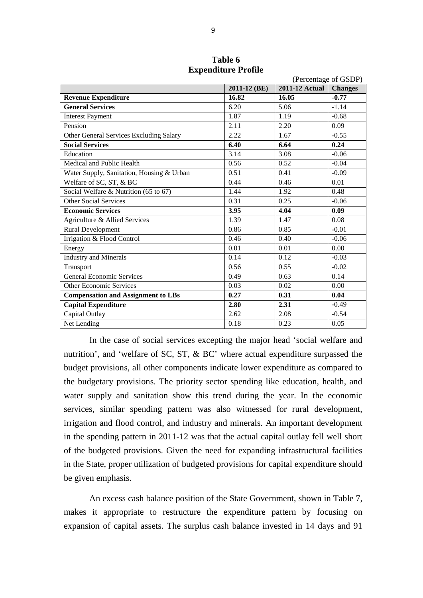|                                           |              |                       | (Percentage of GSDP) |
|-------------------------------------------|--------------|-----------------------|----------------------|
|                                           | 2011-12 (BE) | <b>2011-12 Actual</b> | <b>Changes</b>       |
| <b>Revenue Expenditure</b>                | 16.82        | 16.05                 | $-0.77$              |
| <b>General Services</b>                   | 6.20         | 5.06                  | $-1.14$              |
| <b>Interest Payment</b>                   | 1.87         | 1.19                  | $-0.68$              |
| Pension                                   | 2.11         | 2.20                  | 0.09                 |
| Other General Services Excluding Salary   | 2.22         | 1.67                  | $-0.55$              |
| <b>Social Services</b>                    | 6.40         | 6.64                  | 0.24                 |
| Education                                 | 3.14         | 3.08                  | $-0.06$              |
| Medical and Public Health                 | 0.56         | 0.52                  | $-0.04$              |
| Water Supply, Sanitation, Housing & Urban | 0.51         | 0.41                  | $-0.09$              |
| Welfare of SC, ST, & BC                   | 0.44         | 0.46                  | 0.01                 |
| Social Welfare & Nutrition (65 to 67)     | 1.44         | 1.92                  | 0.48                 |
| <b>Other Social Services</b>              | 0.31         | 0.25                  | $-0.06$              |
| <b>Economic Services</b>                  | 3.95         | 4.04                  | 0.09                 |
| Agriculture & Allied Services             | 1.39         | 1.47                  | 0.08                 |
| Rural Development                         | 0.86         | 0.85                  | $-0.01$              |
| Irrigation & Flood Control                | 0.46         | 0.40                  | $-0.06$              |
| Energy                                    | 0.01         | 0.01                  | 0.00                 |
| <b>Industry and Minerals</b>              | 0.14         | 0.12                  | $-0.03$              |
| Transport                                 | 0.56         | 0.55                  | $-0.02$              |
| <b>General Economic Services</b>          | 0.49         | 0.63                  | 0.14                 |
| <b>Other Economic Services</b>            | 0.03         | 0.02                  | 0.00                 |
| <b>Compensation and Assignment to LBs</b> | 0.27         | 0.31                  | 0.04                 |
| <b>Capital Expenditure</b>                | 2.80         | 2.31                  | $-0.49$              |
| Capital Outlay                            | 2.62         | 2.08                  | $-0.54$              |
| Net Lending                               | 0.18         | 0.23                  | 0.05                 |

**Table 6 Expenditure Profile**

In the case of social services excepting the major head 'social welfare and nutrition', and 'welfare of SC, ST, & BC' where actual expenditure surpassed the budget provisions, all other components indicate lower expenditure as compared to the budgetary provisions. The priority sector spending like education, health, and water supply and sanitation show this trend during the year. In the economic services, similar spending pattern was also witnessed for rural development, irrigation and flood control, and industry and minerals. An important development in the spending pattern in 2011-12 was that the actual capital outlay fell well short of the budgeted provisions. Given the need for expanding infrastructural facilities in the State, proper utilization of budgeted provisions for capital expenditure should be given emphasis.

An excess cash balance position of the State Government, shown in Table 7, makes it appropriate to restructure the expenditure pattern by focusing on expansion of capital assets. The surplus cash balance invested in 14 days and 91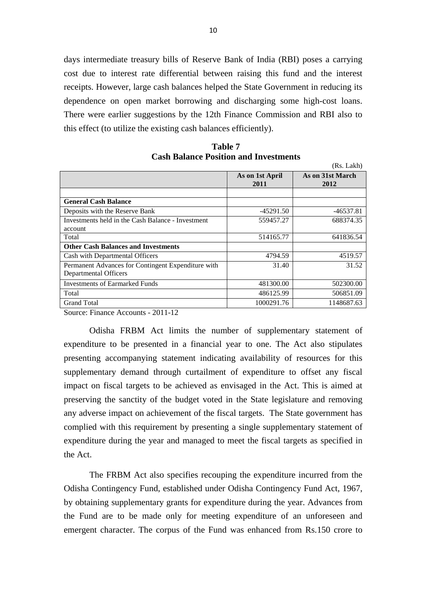days intermediate treasury bills of Reserve Bank of India (RBI) poses a carrying cost due to interest rate differential between raising this fund and the interest receipts. However, large cash balances helped the State Government in reducing its dependence on open market borrowing and discharging some high-cost loans. There were earlier suggestions by the 12th Finance Commission and RBI also to this effect (to utilize the existing cash balances efficiently).

|                                                    |                         | (Rs. Lakh)               |
|----------------------------------------------------|-------------------------|--------------------------|
|                                                    | As on 1st April<br>2011 | As on 31st March<br>2012 |
|                                                    |                         |                          |
| <b>General Cash Balance</b>                        |                         |                          |
| Deposits with the Reserve Bank                     | $-45291.50$             | $-46537.81$              |
| Investments held in the Cash Balance - Investment  | 559457.27               | 688374.35                |
| account                                            |                         |                          |
| Total                                              | 514165.77               | 641836.54                |
| <b>Other Cash Balances and Investments</b>         |                         |                          |
| Cash with Departmental Officers                    | 4794.59                 | 4519.57                  |
| Permanent Advances for Contingent Expenditure with | 31.40                   | 31.52                    |
| Departmental Officers                              |                         |                          |
| Investments of Earmarked Funds                     | 481300.00               | 502300.00                |
| Total                                              | 486125.99               | 506851.09                |
| <b>Grand Total</b>                                 | 1000291.76              | 1148687.63               |

| Table 7                                      |
|----------------------------------------------|
| <b>Cash Balance Position and Investments</b> |

Source: Finance Accounts - 2011-12

Odisha FRBM Act limits the number of supplementary statement of expenditure to be presented in a financial year to one. The Act also stipulates presenting accompanying statement indicating availability of resources for this supplementary demand through curtailment of expenditure to offset any fiscal impact on fiscal targets to be achieved as envisaged in the Act. This is aimed at preserving the sanctity of the budget voted in the State legislature and removing any adverse impact on achievement of the fiscal targets. The State government has complied with this requirement by presenting a single supplementary statement of expenditure during the year and managed to meet the fiscal targets as specified in the Act.

The FRBM Act also specifies recouping the expenditure incurred from the Odisha Contingency Fund, established under Odisha Contingency Fund Act, 1967, by obtaining supplementary grants for expenditure during the year. Advances from the Fund are to be made only for meeting expenditure of an unforeseen and emergent character. The corpus of the Fund was enhanced from Rs.150 crore to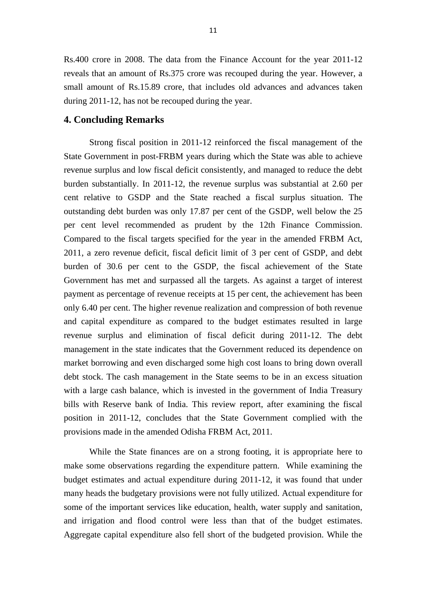Rs.400 crore in 2008. The data from the Finance Account for the year 2011-12 reveals that an amount of Rs.375 crore was recouped during the year. However, a small amount of Rs.15.89 crore, that includes old advances and advances taken during 2011-12, has not be recouped during the year.

#### **4. Concluding Remarks**

Strong fiscal position in 2011-12 reinforced the fiscal management of the State Government in post-FRBM years during which the State was able to achieve revenue surplus and low fiscal deficit consistently, and managed to reduce the debt burden substantially. In 2011-12, the revenue surplus was substantial at 2.60 per cent relative to GSDP and the State reached a fiscal surplus situation. The outstanding debt burden was only 17.87 per cent of the GSDP, well below the 25 per cent level recommended as prudent by the 12th Finance Commission. Compared to the fiscal targets specified for the year in the amended FRBM Act, 2011, a zero revenue deficit, fiscal deficit limit of 3 per cent of GSDP, and debt burden of 30.6 per cent to the GSDP, the fiscal achievement of the State Government has met and surpassed all the targets. As against a target of interest payment as percentage of revenue receipts at 15 per cent, the achievement has been only 6.40 per cent. The higher revenue realization and compression of both revenue and capital expenditure as compared to the budget estimates resulted in large revenue surplus and elimination of fiscal deficit during 2011-12. The debt management in the state indicates that the Government reduced its dependence on market borrowing and even discharged some high cost loans to bring down overall debt stock. The cash management in the State seems to be in an excess situation with a large cash balance, which is invested in the government of India Treasury bills with Reserve bank of India. This review report, after examining the fiscal position in 2011-12, concludes that the State Government complied with the provisions made in the amended Odisha FRBM Act, 2011.

While the State finances are on a strong footing, it is appropriate here to make some observations regarding the expenditure pattern. While examining the budget estimates and actual expenditure during 2011-12, it was found that under many heads the budgetary provisions were not fully utilized. Actual expenditure for some of the important services like education, health, water supply and sanitation, and irrigation and flood control were less than that of the budget estimates. Aggregate capital expenditure also fell short of the budgeted provision. While the